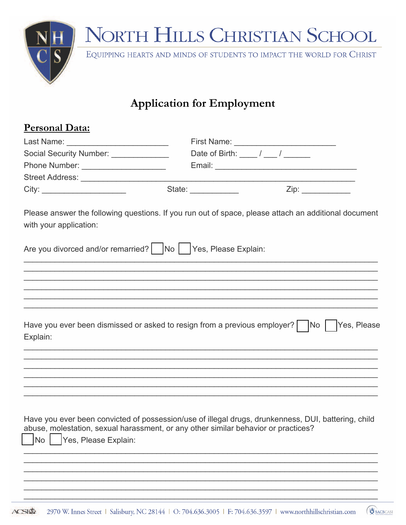

### **Application for Employment**

| <u>Personal Data:</u>                 |                                                                                    |                                                                                                      |  |  |  |  |
|---------------------------------------|------------------------------------------------------------------------------------|------------------------------------------------------------------------------------------------------|--|--|--|--|
|                                       |                                                                                    |                                                                                                      |  |  |  |  |
| Social Security Number: _____________ |                                                                                    | Date of Birth: $\frac{1}{\sqrt{2\pi}}$ / $\frac{1}{\sqrt{2\pi}}$                                     |  |  |  |  |
| Phone Number: _______________________ |                                                                                    |                                                                                                      |  |  |  |  |
|                                       |                                                                                    |                                                                                                      |  |  |  |  |
|                                       | State:                                                                             | Zip:                                                                                                 |  |  |  |  |
| with your application:                |                                                                                    | Please answer the following questions. If you run out of space, please attach an additional document |  |  |  |  |
|                                       | Are you divorced and/or remarried?   No   Yes, Please Explain:                     |                                                                                                      |  |  |  |  |
|                                       |                                                                                    |                                                                                                      |  |  |  |  |
|                                       |                                                                                    |                                                                                                      |  |  |  |  |
|                                       |                                                                                    |                                                                                                      |  |  |  |  |
| Explain:                              |                                                                                    | Have you ever been dismissed or asked to resign from a previous employer?   No   Yes, Please         |  |  |  |  |
|                                       |                                                                                    |                                                                                                      |  |  |  |  |
|                                       |                                                                                    |                                                                                                      |  |  |  |  |
|                                       |                                                                                    | Have you ever been convicted of possession/use of illegal drugs, drunkenness, DUI, battering, child  |  |  |  |  |
| <b>No</b><br>Yes, Please Explain:     | abuse, molestation, sexual harassment, or any other similar behavior or practices? |                                                                                                      |  |  |  |  |
|                                       |                                                                                    |                                                                                                      |  |  |  |  |
|                                       |                                                                                    |                                                                                                      |  |  |  |  |

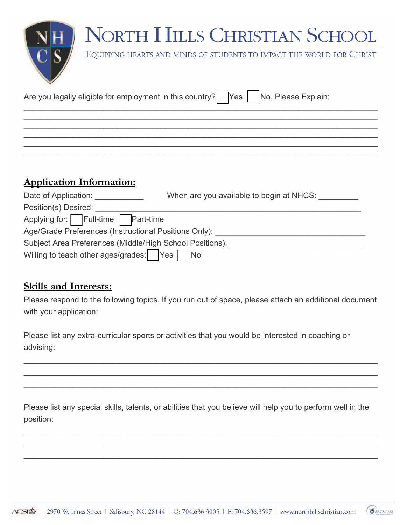EQUIPPING HEARTS AND MINDS OF STUDENTS TO IMPACT THE WORLD FOR CHRIST

| Are you legally eligible for employment in this country? Yes No, Please Explain: |  |
|----------------------------------------------------------------------------------|--|
|                                                                                  |  |

### **Application Information:**

| Date of Application:                                     | When are you available to begin at NHCS: |
|----------------------------------------------------------|------------------------------------------|
| Position(s) Desired:                                     |                                          |
| Applying for: Full-time Part-time                        |                                          |
| Age/Grade Preferences (Instructional Positions Only):    |                                          |
| Subject Area Preferences (Middle/High School Positions): |                                          |
| Willing to teach other ages/grades: Yes No               |                                          |

 $\mathcal{L}_\mathcal{L} = \mathcal{L}_\mathcal{L} = \mathcal{L}_\mathcal{L} = \mathcal{L}_\mathcal{L} = \mathcal{L}_\mathcal{L} = \mathcal{L}_\mathcal{L} = \mathcal{L}_\mathcal{L} = \mathcal{L}_\mathcal{L} = \mathcal{L}_\mathcal{L} = \mathcal{L}_\mathcal{L} = \mathcal{L}_\mathcal{L} = \mathcal{L}_\mathcal{L} = \mathcal{L}_\mathcal{L} = \mathcal{L}_\mathcal{L} = \mathcal{L}_\mathcal{L} = \mathcal{L}_\mathcal{L} = \mathcal{L}_\mathcal{L}$ \_\_\_\_\_\_\_\_\_\_\_\_\_\_\_\_\_\_\_\_\_\_\_\_\_\_\_\_\_\_\_\_\_\_\_\_\_\_\_\_\_\_\_\_\_\_\_\_\_\_\_\_\_\_\_\_\_\_\_\_\_\_\_\_\_\_\_\_\_\_\_\_\_\_\_\_\_\_\_\_ \_\_\_\_\_\_\_\_\_\_\_\_\_\_\_\_\_\_\_\_\_\_\_\_\_\_\_\_\_\_\_\_\_\_\_\_\_\_\_\_\_\_\_\_\_\_\_\_\_\_\_\_\_\_\_\_\_\_\_\_\_\_\_\_\_\_\_\_\_\_\_\_\_\_\_\_\_\_\_\_  $\mathcal{L}_\mathcal{L} = \mathcal{L}_\mathcal{L} = \mathcal{L}_\mathcal{L} = \mathcal{L}_\mathcal{L} = \mathcal{L}_\mathcal{L} = \mathcal{L}_\mathcal{L} = \mathcal{L}_\mathcal{L} = \mathcal{L}_\mathcal{L} = \mathcal{L}_\mathcal{L} = \mathcal{L}_\mathcal{L} = \mathcal{L}_\mathcal{L} = \mathcal{L}_\mathcal{L} = \mathcal{L}_\mathcal{L} = \mathcal{L}_\mathcal{L} = \mathcal{L}_\mathcal{L} = \mathcal{L}_\mathcal{L} = \mathcal{L}_\mathcal{L}$  $\mathcal{L}_\mathcal{L} = \mathcal{L}_\mathcal{L} = \mathcal{L}_\mathcal{L} = \mathcal{L}_\mathcal{L} = \mathcal{L}_\mathcal{L} = \mathcal{L}_\mathcal{L} = \mathcal{L}_\mathcal{L} = \mathcal{L}_\mathcal{L} = \mathcal{L}_\mathcal{L} = \mathcal{L}_\mathcal{L} = \mathcal{L}_\mathcal{L} = \mathcal{L}_\mathcal{L} = \mathcal{L}_\mathcal{L} = \mathcal{L}_\mathcal{L} = \mathcal{L}_\mathcal{L} = \mathcal{L}_\mathcal{L} = \mathcal{L}_\mathcal{L}$ 

#### **Skills and Interests:**

Please respond to the following topics. If you run out of space, please attach an additional document with your application:

\_\_\_\_\_\_\_\_\_\_\_\_\_\_\_\_\_\_\_\_\_\_\_\_\_\_\_\_\_\_\_\_\_\_\_\_\_\_\_\_\_\_\_\_\_\_\_\_\_\_\_\_\_\_\_\_\_\_\_\_\_\_\_\_\_\_\_\_\_\_\_\_\_\_\_\_\_\_\_\_ \_\_\_\_\_\_\_\_\_\_\_\_\_\_\_\_\_\_\_\_\_\_\_\_\_\_\_\_\_\_\_\_\_\_\_\_\_\_\_\_\_\_\_\_\_\_\_\_\_\_\_\_\_\_\_\_\_\_\_\_\_\_\_\_\_\_\_\_\_\_\_\_\_\_\_\_\_\_\_\_ \_\_\_\_\_\_\_\_\_\_\_\_\_\_\_\_\_\_\_\_\_\_\_\_\_\_\_\_\_\_\_\_\_\_\_\_\_\_\_\_\_\_\_\_\_\_\_\_\_\_\_\_\_\_\_\_\_\_\_\_\_\_\_\_\_\_\_\_\_\_\_\_\_\_\_\_\_\_\_\_

Please list any extra-curricular sports or activities that you would be interested in coaching or advising:

Please list any special skills, talents, or abilities that you believe will help you to perform well in the position:

\_\_\_\_\_\_\_\_\_\_\_\_\_\_\_\_\_\_\_\_\_\_\_\_\_\_\_\_\_\_\_\_\_\_\_\_\_\_\_\_\_\_\_\_\_\_\_\_\_\_\_\_\_\_\_\_\_\_\_\_\_\_\_\_\_\_\_\_\_\_\_\_\_\_\_\_\_\_\_\_ \_\_\_\_\_\_\_\_\_\_\_\_\_\_\_\_\_\_\_\_\_\_\_\_\_\_\_\_\_\_\_\_\_\_\_\_\_\_\_\_\_\_\_\_\_\_\_\_\_\_\_\_\_\_\_\_\_\_\_\_\_\_\_\_\_\_\_\_\_\_\_\_\_\_\_\_\_\_\_\_ \_\_\_\_\_\_\_\_\_\_\_\_\_\_\_\_\_\_\_\_\_\_\_\_\_\_\_\_\_\_\_\_\_\_\_\_\_\_\_\_\_\_\_\_\_\_\_\_\_\_\_\_\_\_\_\_\_\_\_\_\_\_\_\_\_\_\_\_\_\_\_\_\_\_\_\_\_\_\_\_

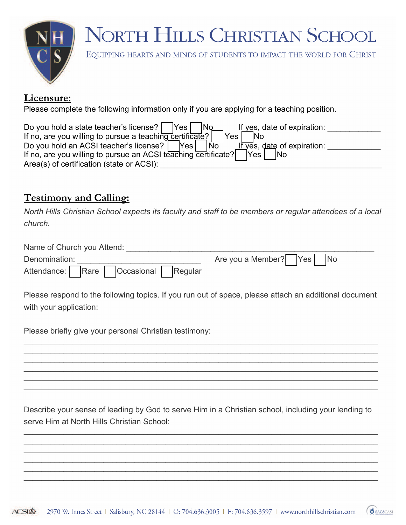

EQUIPPING HEARTS AND MINDS OF STUDENTS TO IMPACT THE WORLD FOR CHRIST

#### **Licensure:**

Please complete the following information only if you are applying for a teaching position.

| Do you hold a state teacher's license?  <br><b>Yes</b><br>If yes, date of expiration:<br> No  |  |
|-----------------------------------------------------------------------------------------------|--|
| If no, are you willing to pursue a teaching certificate?<br>'Yes .<br><b>INo</b>              |  |
| Do you hold an ACSI teacher's license?  <br>Yes $\mid$<br>If yes, date of expiration:<br>l No |  |
| If no, are you willing to pursue an ACSI teaching certificate?<br>Yes<br><b>INo</b>           |  |
| Area(s) of certification (state or ACSI):                                                     |  |

### **Testimony and Calling:**

*North Hills Christian School expects its faculty and staff to be members or regular attendees of a local church.*

| Name of Church you Attend:          |                          |
|-------------------------------------|--------------------------|
| Denomination:                       | Are you a Member? Yes No |
| Attendance: Rare Cocasional Regular |                          |

Please respond to the following topics. If you run out of space, please attach an additional document with your application:

\_\_\_\_\_\_\_\_\_\_\_\_\_\_\_\_\_\_\_\_\_\_\_\_\_\_\_\_\_\_\_\_\_\_\_\_\_\_\_\_\_\_\_\_\_\_\_\_\_\_\_\_\_\_\_\_\_\_\_\_\_\_\_\_\_\_\_\_\_\_\_\_\_\_\_\_\_\_\_\_ \_\_\_\_\_\_\_\_\_\_\_\_\_\_\_\_\_\_\_\_\_\_\_\_\_\_\_\_\_\_\_\_\_\_\_\_\_\_\_\_\_\_\_\_\_\_\_\_\_\_\_\_\_\_\_\_\_\_\_\_\_\_\_\_\_\_\_\_\_\_\_\_\_\_\_\_\_\_\_\_  $\mathcal{L}_\mathcal{L} = \mathcal{L}_\mathcal{L} = \mathcal{L}_\mathcal{L} = \mathcal{L}_\mathcal{L} = \mathcal{L}_\mathcal{L} = \mathcal{L}_\mathcal{L} = \mathcal{L}_\mathcal{L} = \mathcal{L}_\mathcal{L} = \mathcal{L}_\mathcal{L} = \mathcal{L}_\mathcal{L} = \mathcal{L}_\mathcal{L} = \mathcal{L}_\mathcal{L} = \mathcal{L}_\mathcal{L} = \mathcal{L}_\mathcal{L} = \mathcal{L}_\mathcal{L} = \mathcal{L}_\mathcal{L} = \mathcal{L}_\mathcal{L}$  $\mathcal{L}_\mathcal{L} = \mathcal{L}_\mathcal{L} = \mathcal{L}_\mathcal{L} = \mathcal{L}_\mathcal{L} = \mathcal{L}_\mathcal{L} = \mathcal{L}_\mathcal{L} = \mathcal{L}_\mathcal{L} = \mathcal{L}_\mathcal{L} = \mathcal{L}_\mathcal{L} = \mathcal{L}_\mathcal{L} = \mathcal{L}_\mathcal{L} = \mathcal{L}_\mathcal{L} = \mathcal{L}_\mathcal{L} = \mathcal{L}_\mathcal{L} = \mathcal{L}_\mathcal{L} = \mathcal{L}_\mathcal{L} = \mathcal{L}_\mathcal{L}$ \_\_\_\_\_\_\_\_\_\_\_\_\_\_\_\_\_\_\_\_\_\_\_\_\_\_\_\_\_\_\_\_\_\_\_\_\_\_\_\_\_\_\_\_\_\_\_\_\_\_\_\_\_\_\_\_\_\_\_\_\_\_\_\_\_\_\_\_\_\_\_\_\_\_\_\_\_\_\_\_  $\mathcal{L}_\mathcal{L} = \mathcal{L}_\mathcal{L} = \mathcal{L}_\mathcal{L} = \mathcal{L}_\mathcal{L} = \mathcal{L}_\mathcal{L} = \mathcal{L}_\mathcal{L} = \mathcal{L}_\mathcal{L} = \mathcal{L}_\mathcal{L} = \mathcal{L}_\mathcal{L} = \mathcal{L}_\mathcal{L} = \mathcal{L}_\mathcal{L} = \mathcal{L}_\mathcal{L} = \mathcal{L}_\mathcal{L} = \mathcal{L}_\mathcal{L} = \mathcal{L}_\mathcal{L} = \mathcal{L}_\mathcal{L} = \mathcal{L}_\mathcal{L}$ 

Please briefly give your personal Christian testimony:

Describe your sense of leading by God to serve Him in a Christian school, including your lending to serve Him at North Hills Christian School:

\_\_\_\_\_\_\_\_\_\_\_\_\_\_\_\_\_\_\_\_\_\_\_\_\_\_\_\_\_\_\_\_\_\_\_\_\_\_\_\_\_\_\_\_\_\_\_\_\_\_\_\_\_\_\_\_\_\_\_\_\_\_\_\_\_\_\_\_\_\_\_\_\_\_\_\_\_\_\_\_ \_\_\_\_\_\_\_\_\_\_\_\_\_\_\_\_\_\_\_\_\_\_\_\_\_\_\_\_\_\_\_\_\_\_\_\_\_\_\_\_\_\_\_\_\_\_\_\_\_\_\_\_\_\_\_\_\_\_\_\_\_\_\_\_\_\_\_\_\_\_\_\_\_\_\_\_\_\_\_\_  $\mathcal{L}_\mathcal{L} = \mathcal{L}_\mathcal{L} = \mathcal{L}_\mathcal{L} = \mathcal{L}_\mathcal{L} = \mathcal{L}_\mathcal{L} = \mathcal{L}_\mathcal{L} = \mathcal{L}_\mathcal{L} = \mathcal{L}_\mathcal{L} = \mathcal{L}_\mathcal{L} = \mathcal{L}_\mathcal{L} = \mathcal{L}_\mathcal{L} = \mathcal{L}_\mathcal{L} = \mathcal{L}_\mathcal{L} = \mathcal{L}_\mathcal{L} = \mathcal{L}_\mathcal{L} = \mathcal{L}_\mathcal{L} = \mathcal{L}_\mathcal{L}$  $\mathcal{L}_\mathcal{L} = \mathcal{L}_\mathcal{L} = \mathcal{L}_\mathcal{L} = \mathcal{L}_\mathcal{L} = \mathcal{L}_\mathcal{L} = \mathcal{L}_\mathcal{L} = \mathcal{L}_\mathcal{L} = \mathcal{L}_\mathcal{L} = \mathcal{L}_\mathcal{L} = \mathcal{L}_\mathcal{L} = \mathcal{L}_\mathcal{L} = \mathcal{L}_\mathcal{L} = \mathcal{L}_\mathcal{L} = \mathcal{L}_\mathcal{L} = \mathcal{L}_\mathcal{L} = \mathcal{L}_\mathcal{L} = \mathcal{L}_\mathcal{L}$ \_\_\_\_\_\_\_\_\_\_\_\_\_\_\_\_\_\_\_\_\_\_\_\_\_\_\_\_\_\_\_\_\_\_\_\_\_\_\_\_\_\_\_\_\_\_\_\_\_\_\_\_\_\_\_\_\_\_\_\_\_\_\_\_\_\_\_\_\_\_\_\_\_\_\_\_\_\_\_\_ \_\_\_\_\_\_\_\_\_\_\_\_\_\_\_\_\_\_\_\_\_\_\_\_\_\_\_\_\_\_\_\_\_\_\_\_\_\_\_\_\_\_\_\_\_\_\_\_\_\_\_\_\_\_\_\_\_\_\_\_\_\_\_\_\_\_\_\_\_\_\_\_\_\_\_\_\_\_\_\_

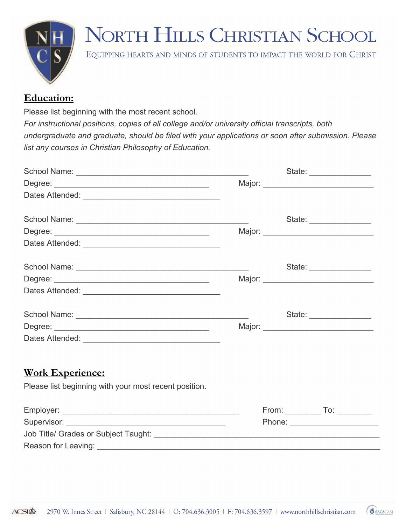

EQUIPPING HEARTS AND MINDS OF STUDENTS TO IMPACT THE WORLD FOR CHRIST

### **Education:**

Please list beginning with the most recent school.

*For instructional positions, copies of all college and/or university official transcripts, both undergraduate and graduate, should be filed with your applications or soon after submission. Please list any courses in Christian Philosophy of Education.*

|                                                       |  | State: _________________                    |
|-------------------------------------------------------|--|---------------------------------------------|
|                                                       |  |                                             |
|                                                       |  |                                             |
|                                                       |  | State: _________________                    |
|                                                       |  |                                             |
|                                                       |  |                                             |
|                                                       |  | State: __________________                   |
|                                                       |  | Major: __________________________________   |
|                                                       |  |                                             |
|                                                       |  | State: _________________                    |
|                                                       |  | Major: National Communication of the Major: |
|                                                       |  |                                             |
| <b>Work Experience:</b>                               |  |                                             |
| Please list beginning with your most recent position. |  |                                             |
|                                                       |  | From: _______________ To: ____________      |
|                                                       |  | Phone: _________________________            |
|                                                       |  |                                             |
|                                                       |  |                                             |

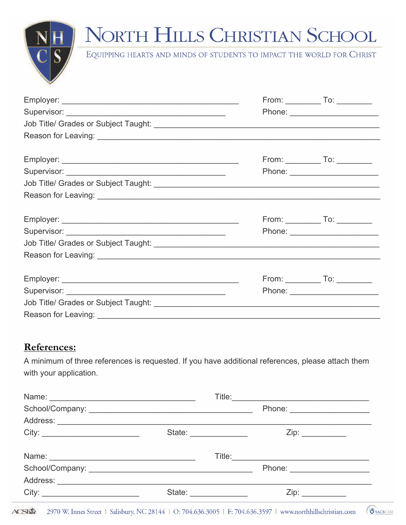

EQUIPPING HEARTS AND MINDS OF STUDENTS TO IMPACT THE WORLD FOR CHRIST

|                     | Phone: _________________________     |
|---------------------|--------------------------------------|
|                     |                                      |
|                     |                                      |
|                     | From: ______________ To: ___________ |
|                     |                                      |
|                     |                                      |
| Reason for Leaving: |                                      |

#### References:

A minimum of three references is requested. If you have additional references, please attach them with your application.

| Name: Name: |                                 |                                                                                                                       |          |
|-------------|---------------------------------|-----------------------------------------------------------------------------------------------------------------------|----------|
|             |                                 | Phone: ______________________                                                                                         |          |
|             |                                 |                                                                                                                       |          |
| City:       | State: <u>_________________</u> | Zip:                                                                                                                  |          |
|             |                                 |                                                                                                                       |          |
|             |                                 | Phone: ______________________                                                                                         |          |
|             |                                 |                                                                                                                       |          |
| City:       | State:                          |                                                                                                                       |          |
|             |                                 | $SI\Phi$ 2970 W. Innes Street   Salisbury, NC 28144   O: 704.636.3005   F: 704.636.3597   www.northhillschristian.com | SACSCASI |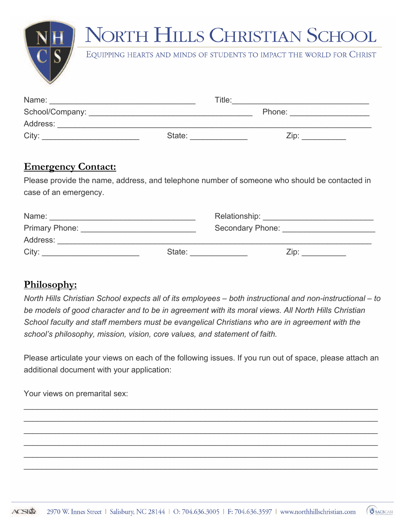EQUIPPING HEARTS AND MINDS OF STUDENTS TO IMPACT THE WORLD FOR CHRIST

| Name:    |        | Title: |  |
|----------|--------|--------|--|
|          |        | Phone: |  |
| Address: |        |        |  |
| City:    | State: | Zip:   |  |

#### **Emergency Contact:**

Please provide the name, address, and telephone number of someone who should be contacted in case of an emergency.

| Name:                 |        | Relationship:    |
|-----------------------|--------|------------------|
| <b>Primary Phone:</b> |        | Secondary Phone: |
| Address:              |        |                  |
| City:                 | State: | Zip:             |

### **Philosophy:**

*North Hills Christian School expects all of its employees – both instructional and non-instructional – to be models of good character and to be in agreement with its moral views. All North Hills Christian School faculty and staff members must be evangelical Christians who are in agreement with the school's philosophy, mission, vision, core values, and statement of faith.*

Please articulate your views on each of the following issues. If you run out of space, please attach an additional document with your application:

 $\mathcal{L}_\mathcal{L} = \mathcal{L}_\mathcal{L} = \mathcal{L}_\mathcal{L} = \mathcal{L}_\mathcal{L} = \mathcal{L}_\mathcal{L} = \mathcal{L}_\mathcal{L} = \mathcal{L}_\mathcal{L} = \mathcal{L}_\mathcal{L} = \mathcal{L}_\mathcal{L} = \mathcal{L}_\mathcal{L} = \mathcal{L}_\mathcal{L} = \mathcal{L}_\mathcal{L} = \mathcal{L}_\mathcal{L} = \mathcal{L}_\mathcal{L} = \mathcal{L}_\mathcal{L} = \mathcal{L}_\mathcal{L} = \mathcal{L}_\mathcal{L}$  $\mathcal{L}_\mathcal{L} = \mathcal{L}_\mathcal{L} = \mathcal{L}_\mathcal{L} = \mathcal{L}_\mathcal{L} = \mathcal{L}_\mathcal{L} = \mathcal{L}_\mathcal{L} = \mathcal{L}_\mathcal{L} = \mathcal{L}_\mathcal{L} = \mathcal{L}_\mathcal{L} = \mathcal{L}_\mathcal{L} = \mathcal{L}_\mathcal{L} = \mathcal{L}_\mathcal{L} = \mathcal{L}_\mathcal{L} = \mathcal{L}_\mathcal{L} = \mathcal{L}_\mathcal{L} = \mathcal{L}_\mathcal{L} = \mathcal{L}_\mathcal{L}$  $\mathcal{L}_\mathcal{L} = \mathcal{L}_\mathcal{L} = \mathcal{L}_\mathcal{L} = \mathcal{L}_\mathcal{L} = \mathcal{L}_\mathcal{L} = \mathcal{L}_\mathcal{L} = \mathcal{L}_\mathcal{L} = \mathcal{L}_\mathcal{L} = \mathcal{L}_\mathcal{L} = \mathcal{L}_\mathcal{L} = \mathcal{L}_\mathcal{L} = \mathcal{L}_\mathcal{L} = \mathcal{L}_\mathcal{L} = \mathcal{L}_\mathcal{L} = \mathcal{L}_\mathcal{L} = \mathcal{L}_\mathcal{L} = \mathcal{L}_\mathcal{L}$  $\mathcal{L}_\mathcal{L} = \mathcal{L}_\mathcal{L} = \mathcal{L}_\mathcal{L} = \mathcal{L}_\mathcal{L} = \mathcal{L}_\mathcal{L} = \mathcal{L}_\mathcal{L} = \mathcal{L}_\mathcal{L} = \mathcal{L}_\mathcal{L} = \mathcal{L}_\mathcal{L} = \mathcal{L}_\mathcal{L} = \mathcal{L}_\mathcal{L} = \mathcal{L}_\mathcal{L} = \mathcal{L}_\mathcal{L} = \mathcal{L}_\mathcal{L} = \mathcal{L}_\mathcal{L} = \mathcal{L}_\mathcal{L} = \mathcal{L}_\mathcal{L}$  $\mathcal{L}_\mathcal{L} = \mathcal{L}_\mathcal{L} = \mathcal{L}_\mathcal{L} = \mathcal{L}_\mathcal{L} = \mathcal{L}_\mathcal{L} = \mathcal{L}_\mathcal{L} = \mathcal{L}_\mathcal{L} = \mathcal{L}_\mathcal{L} = \mathcal{L}_\mathcal{L} = \mathcal{L}_\mathcal{L} = \mathcal{L}_\mathcal{L} = \mathcal{L}_\mathcal{L} = \mathcal{L}_\mathcal{L} = \mathcal{L}_\mathcal{L} = \mathcal{L}_\mathcal{L} = \mathcal{L}_\mathcal{L} = \mathcal{L}_\mathcal{L}$  $\mathcal{L}_\mathcal{L} = \mathcal{L}_\mathcal{L} = \mathcal{L}_\mathcal{L} = \mathcal{L}_\mathcal{L} = \mathcal{L}_\mathcal{L} = \mathcal{L}_\mathcal{L} = \mathcal{L}_\mathcal{L} = \mathcal{L}_\mathcal{L} = \mathcal{L}_\mathcal{L} = \mathcal{L}_\mathcal{L} = \mathcal{L}_\mathcal{L} = \mathcal{L}_\mathcal{L} = \mathcal{L}_\mathcal{L} = \mathcal{L}_\mathcal{L} = \mathcal{L}_\mathcal{L} = \mathcal{L}_\mathcal{L} = \mathcal{L}_\mathcal{L}$ 

Your views on premarital sex:

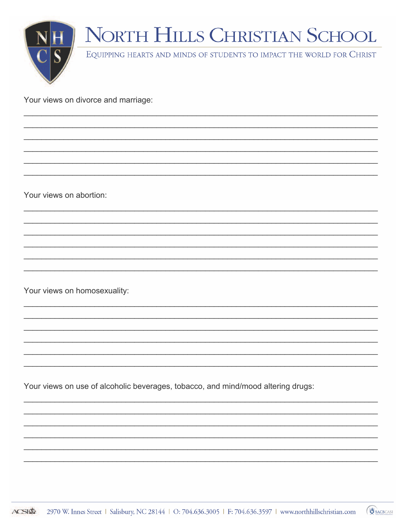

Your views on divorce and marriage:

Your views on abortion:

Your views on homosexuality:

Your views on use of alcoholic beverages, tobacco, and mind/mood altering drugs:

**J** SACSCASI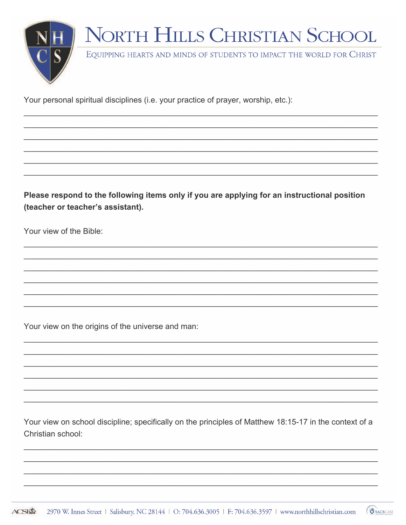

Your personal spiritual disciplines (i.e. your practice of prayer, worship, etc.):

Please respond to the following items only if you are applying for an instructional position (teacher or teacher's assistant).

Your view of the Bible:

Your view on the origins of the universe and man:

Your view on school discipline; specifically on the principles of Matthew 18:15-17 in the context of a Christian school:

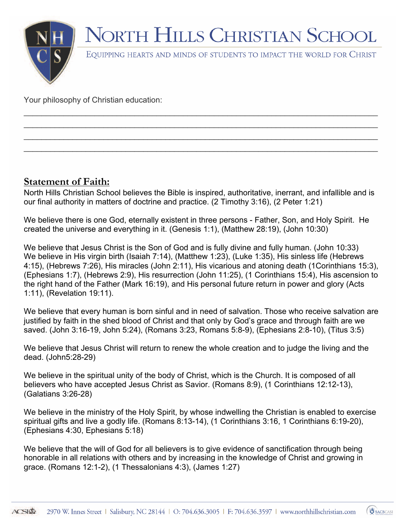

 $\mathcal{L}_\mathcal{L} = \mathcal{L}_\mathcal{L} = \mathcal{L}_\mathcal{L} = \mathcal{L}_\mathcal{L} = \mathcal{L}_\mathcal{L} = \mathcal{L}_\mathcal{L} = \mathcal{L}_\mathcal{L} = \mathcal{L}_\mathcal{L} = \mathcal{L}_\mathcal{L} = \mathcal{L}_\mathcal{L} = \mathcal{L}_\mathcal{L} = \mathcal{L}_\mathcal{L} = \mathcal{L}_\mathcal{L} = \mathcal{L}_\mathcal{L} = \mathcal{L}_\mathcal{L} = \mathcal{L}_\mathcal{L} = \mathcal{L}_\mathcal{L}$  $\mathcal{L}_\mathcal{L} = \mathcal{L}_\mathcal{L} = \mathcal{L}_\mathcal{L} = \mathcal{L}_\mathcal{L} = \mathcal{L}_\mathcal{L} = \mathcal{L}_\mathcal{L} = \mathcal{L}_\mathcal{L} = \mathcal{L}_\mathcal{L} = \mathcal{L}_\mathcal{L} = \mathcal{L}_\mathcal{L} = \mathcal{L}_\mathcal{L} = \mathcal{L}_\mathcal{L} = \mathcal{L}_\mathcal{L} = \mathcal{L}_\mathcal{L} = \mathcal{L}_\mathcal{L} = \mathcal{L}_\mathcal{L} = \mathcal{L}_\mathcal{L}$  $\mathcal{L}_\mathcal{L} = \mathcal{L}_\mathcal{L} = \mathcal{L}_\mathcal{L} = \mathcal{L}_\mathcal{L} = \mathcal{L}_\mathcal{L} = \mathcal{L}_\mathcal{L} = \mathcal{L}_\mathcal{L} = \mathcal{L}_\mathcal{L} = \mathcal{L}_\mathcal{L} = \mathcal{L}_\mathcal{L} = \mathcal{L}_\mathcal{L} = \mathcal{L}_\mathcal{L} = \mathcal{L}_\mathcal{L} = \mathcal{L}_\mathcal{L} = \mathcal{L}_\mathcal{L} = \mathcal{L}_\mathcal{L} = \mathcal{L}_\mathcal{L}$  $\mathcal{L}_\mathcal{L} = \mathcal{L}_\mathcal{L} = \mathcal{L}_\mathcal{L} = \mathcal{L}_\mathcal{L} = \mathcal{L}_\mathcal{L} = \mathcal{L}_\mathcal{L} = \mathcal{L}_\mathcal{L} = \mathcal{L}_\mathcal{L} = \mathcal{L}_\mathcal{L} = \mathcal{L}_\mathcal{L} = \mathcal{L}_\mathcal{L} = \mathcal{L}_\mathcal{L} = \mathcal{L}_\mathcal{L} = \mathcal{L}_\mathcal{L} = \mathcal{L}_\mathcal{L} = \mathcal{L}_\mathcal{L} = \mathcal{L}_\mathcal{L}$ 

Your philosophy of Christian education:

### **Statement of Faith:**

North Hills Christian School believes the Bible is inspired, authoritative, inerrant, and infallible and is our final authority in matters of doctrine and practice. (2 Timothy 3:16), (2 Peter 1:21)

We believe there is one God, eternally existent in three persons - Father, Son, and Holy Spirit. He created the universe and everything in it. (Genesis 1:1), (Matthew 28:19), (John 10:30)

We believe that Jesus Christ is the Son of God and is fully divine and fully human. (John 10:33) We believe in His virgin birth (Isaiah 7:14), (Matthew 1:23), (Luke 1:35), His sinless life (Hebrews 4:15), (Hebrews 7:26), His miracles (John 2:11), His vicarious and atoning death (1Corinthians 15:3), (Ephesians 1:7), (Hebrews 2:9), His resurrection (John 11:25), (1 Corinthians 15:4), His ascension to the right hand of the Father (Mark 16:19), and His personal future return in power and glory (Acts 1:11), (Revelation 19:11).

We believe that every human is born sinful and in need of salvation. Those who receive salvation are justified by faith in the shed blood of Christ and that only by God's grace and through faith are we saved. (John 3:16-19, John 5:24), (Romans 3:23, Romans 5:8-9), (Ephesians 2:8-10), (Titus 3:5)

We believe that Jesus Christ will return to renew the whole creation and to judge the living and the dead. (John5:28-29)

We believe in the spiritual unity of the body of Christ, which is the Church. It is composed of all believers who have accepted Jesus Christ as Savior. (Romans 8:9), (1 Corinthians 12:12-13), (Galatians 3:26-28)

We believe in the ministry of the Holy Spirit, by whose indwelling the Christian is enabled to exercise spiritual gifts and live a godly life. (Romans 8:13-14), (1 Corinthians 3:16, 1 Corinthians 6:19-20), (Ephesians 4:30, Ephesians 5:18)

We believe that the will of God for all believers is to give evidence of sanctification through being honorable in all relations with others and by increasing in the knowledge of Christ and growing in grace. (Romans 12:1-2), (1 Thessalonians 4:3), (James 1:27)

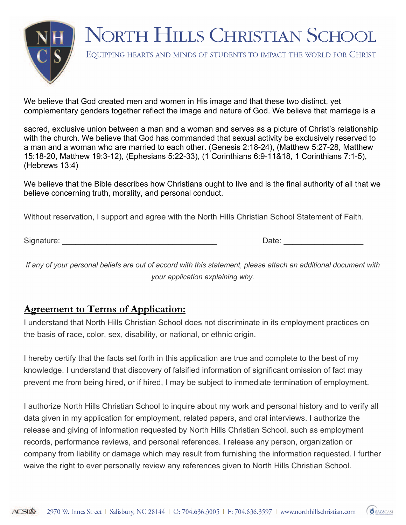

EQUIPPING HEARTS AND MINDS OF STUDENTS TO IMPACT THE WORLD FOR CHRIST

We believe that God created men and women in His image and that these two distinct, yet complementary genders together reflect the image and nature of God. We believe that marriage is a

sacred, exclusive union between a man and a woman and serves as a picture of Christ's relationship with the church. We believe that God has commanded that sexual activity be exclusively reserved to a man and a woman who are married to each other. (Genesis 2:18-24), (Matthew 5:27-28, Matthew 15:18-20, Matthew 19:3-12), (Ephesians 5:22-33), (1 Corinthians 6:9-11&18, 1 Corinthians 7:1-5), (Hebrews 13:4)

We believe that the Bible describes how Christians ought to live and is the final authority of all that we believe concerning truth, morality, and personal conduct.

Without reservation, I support and agree with the North Hills Christian School Statement of Faith.

Signature: \_\_\_\_\_\_\_\_\_\_\_\_\_\_\_\_\_\_\_\_\_\_\_\_\_\_\_\_\_\_\_\_\_\_\_ Date: \_\_\_\_\_\_\_\_\_\_\_\_\_\_\_\_\_\_

*If any of your personal beliefs are out of accord with this statement, please attach an additional document with your application explaining why.*

### **Agreement to Terms of Application:**

I understand that North Hills Christian School does not discriminate in its employment practices on the basis of race, color, sex, disability, or national, or ethnic origin.

I hereby certify that the facts set forth in this application are true and complete to the best of my knowledge. I understand that discovery of falsified information of significant omission of fact may prevent me from being hired, or if hired, I may be subject to immediate termination of employment.

I authorize North Hills Christian School to inquire about my work and personal history and to verify all data given in my application for employment, related papers, and oral interviews. I authorize the release and giving of information requested by North Hills Christian School, such as employment records, performance reviews, and personal references. I release any person, organization or company from liability or damage which may result from furnishing the information requested. I further waive the right to ever personally review any references given to North Hills Christian School.